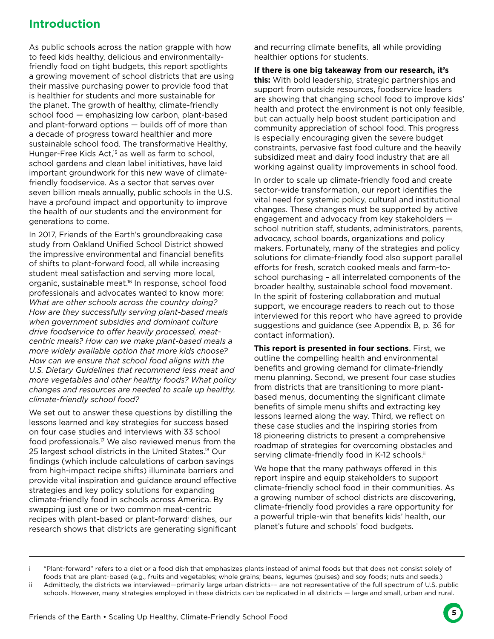## **Introduction**

As public schools across the nation grapple with how to feed kids healthy, delicious and environmentallyfriendly food on tight budgets, this report spotlights a growing movement of school districts that are using their massive purchasing power to provide food that is healthier for students and more sustainable for the planet. The growth of healthy, climate-friendly school food — emphasizing low carbon, plant-based and plant-forward options — builds off of more than a decade of progress toward healthier and more sustainable school food. The transformative Healthy, Hunger-Free Kids Act,<sup>15</sup> as well as farm to school, school gardens and clean label initiatives, have laid important groundwork for this new wave of climatefriendly foodservice. As a sector that serves over seven billion meals annually, public schools in the U.S. have a profound impact and opportunity to improve the health of our students and the environment for generations to come.

In 2017, Friends of the Earth's groundbreaking case study from Oakland Unified School District showed the impressive environmental and financial benefits of shifts to plant-forward food, all while increasing student meal satisfaction and serving more local, organic, sustainable meat.<sup>16</sup> In response, school food professionals and advocates wanted to know more: *What are other schools across the country doing? How are they successfully serving plant-based meals when government subsidies and dominant culture drive foodservice to offer heavily processed, meatcentric meals? How can we make plant-based meals a more widely available option that more kids choose? How can we ensure that school food aligns with the U.S. Dietary Guidelines that recommend less meat and more vegetables and other healthy foods? What policy changes and resources are needed to scale up healthy, climate-friendly school food?*

We set out to answer these questions by distilling the lessons learned and key strategies for success based on four case studies and interviews with 33 school food professionals.<sup>17</sup> We also reviewed menus from the 25 largest school districts in the United States.<sup>18</sup> Our findings (which include calculations of carbon savings from high-impact recipe shifts) illuminate barriers and provide vital inspiration and guidance around effective strategies and key policy solutions for expanding climate-friendly food in schools across America. By swapping just one or two common meat-centric recipes with plant-based or plant-forward<sup>i</sup> dishes, our research shows that districts are generating significant and recurring climate benefits, all while providing healthier options for students.

**If there is one big takeaway from our research, it's this:** With bold leadership, strategic partnerships and support from outside resources, foodservice leaders are showing that changing school food to improve kids' health and protect the environment is not only feasible, but can actually help boost student participation and community appreciation of school food. This progress is especially encouraging given the severe budget constraints, pervasive fast food culture and the heavily subsidized meat and dairy food industry that are all working against quality improvements in school food.

In order to scale up climate-friendly food and create sector-wide transformation, our report identifies the vital need for systemic policy, cultural and institutional changes. These changes must be supported by active engagement and advocacy from key stakeholders school nutrition staff, students, administrators, parents, advocacy, school boards, organizations and policy makers. Fortunately, many of the strategies and policy solutions for climate-friendly food also support parallel efforts for fresh, scratch cooked meals and farm-toschool purchasing – all interrelated components of the broader healthy, sustainable school food movement. In the spirit of fostering collaboration and mutual support, we encourage readers to reach out to those interviewed for this report who have agreed to provide suggestions and guidance (see Appendix B, p. 36 for contact information).

**This report is presented in four sections.** First, we outline the compelling health and environmental benefits and growing demand for climate-friendly menu planning. Second, we present four case studies from districts that are transitioning to more plantbased menus, documenting the significant climate benefits of simple menu shifts and extracting key lessons learned along the way. Third, we reflect on these case studies and the inspiring stories from 18 pioneering districts to present a comprehensive roadmap of strategies for overcoming obstacles and serving climate-friendly food in K-12 schools.<sup>ii</sup>

We hope that the many pathways offered in this report inspire and equip stakeholders to support climate-friendly school food in their communities. As a growing number of school districts are discovering, climate-friendly food provides a rare opportunity for a powerful triple-win that benefits kids' health, our planet's future and schools' food budgets.

i "Plant-forward" refers to a diet or a food dish that emphasizes plants instead of animal foods but that does not consist solely of foods that are plant-based (e.g., fruits and vegetables; whole grains; beans, legumes (pulses) and soy foods; nuts and seeds.)

ii Admittedly, the districts we interviewed—primarily large urban districts–– are not representative of the full spectrum of U.S. public schools. However, many strategies employed in these districts can be replicated in all districts — large and small, urban and rural.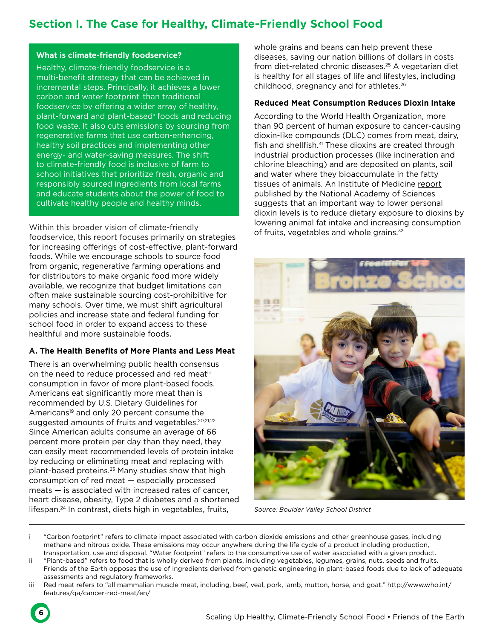# **Section I. The Case for Healthy, Climate-Friendly School Food**

#### **What is climate-friendly foodservice?**

Healthy, climate-friendly foodservice is a multi-benefit strategy that can be achieved in incremental steps. Principally, it achieves a lower carbon and water footprint<sup>i</sup> than traditional foodservice by offering a wider array of healthy, plant-forward and plant-based<sup>ii</sup> foods and reducing food waste. It also cuts emissions by sourcing from regenerative farms that use carbon-enhancing, healthy soil practices and implementing other energy- and water-saving measures. The shift to climate-friendly food is inclusive of farm to school initiatives that prioritize fresh, organic and responsibly sourced ingredients from local farms and educate students about the power of food to cultivate healthy people and healthy minds.

Within this broader vision of climate-friendly foodservice, this report focuses primarily on strategies for increasing offerings of cost-effective, plant-forward foods. While we encourage schools to source food from organic, regenerative farming operations and for distributors to make organic food more widely available, we recognize that budget limitations can often make sustainable sourcing cost-prohibitive for many schools. Over time, we must shift agricultural policies and increase state and federal funding for school food in order to expand access to these healthful and more sustainable foods.

#### **A. The Health Benefits of More Plants and Less Meat**

There is an overwhelming public health consensus on the need to reduce processed and red meatiii consumption in favor of more plant-based foods. Americans eat significantly more meat than is recommended by U.S. Dietary Guidelines for Americans<sup>19</sup> and only 20 percent consume the suggested amounts of fruits and vegetables.<sup>20,21,22</sup> Since American adults consume an average of 66 percent more protein per day than they need, they can easily meet recommended levels of protein intake by reducing or eliminating meat and replacing with plant-based proteins.<sup>23</sup> Many studies show that high consumption of red meat — especially processed meats — is associated with increased rates of cancer, heart disease, obesity, Type 2 diabetes and a shortened lifespan.<sup>24</sup> In contrast, diets high in vegetables, fruits,

whole grains and beans can help prevent these diseases, saving our nation billions of dollars in costs from diet-related chronic diseases.<sup>25</sup> A vegetarian diet is healthy for all stages of life and lifestyles, including childhood, pregnancy and for athletes.<sup>26</sup>

#### **Reduced Meat Consumption Reduces Dioxin Intake**

According to the World Health Organization, more than 90 percent of human exposure to cancer-causing dioxin-like compounds (DLC) comes from meat, dairy, fish and shellfish.<sup>31</sup> These dioxins are created through industrial production processes (like incineration and chlorine bleaching) and are deposited on plants, soil and water where they bioaccumulate in the fatty tissues of animals. An Institute of Medicine report published by the National Academy of Sciences suggests that an important way to lower personal dioxin levels is to reduce dietary exposure to dioxins by lowering animal fat intake and increasing consumption of fruits, vegetables and whole grains.<sup>32</sup>



*Source: Boulder Valley School District*

- i "Carbon footprint" refers to climate impact associated with carbon dioxide emissions and other greenhouse gases, including methane and nitrous oxide. These emissions may occur anywhere during the life cycle of a product including production, transportation, use and disposal. "Water footprint" refers to the consumptive use of water associated with a given product.
- ii "Plant-based" refers to food that is wholly derived from plants, including vegetables, legumes, grains, nuts, seeds and fruits. Friends of the Earth opposes the use of ingredients derived from genetic engineering in plant-based foods due to lack of adequate assessments and regulatory frameworks.
- iii Red meat refers to "all mammalian muscle meat, including, beef, veal, pork, lamb, mutton, horse, and goat." http://www.who.int/ features/qa/cancer-red-meat/en/

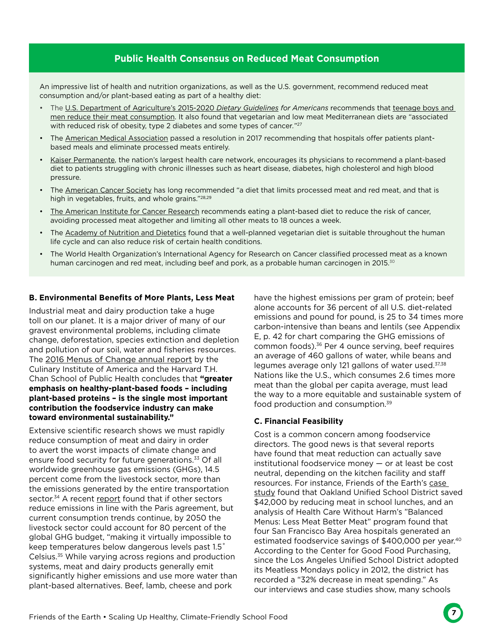### **Public Health Consensus on Reduced Meat Consumption**

An impressive list of health and nutrition organizations, as well as the U.S. government, recommend reduced meat consumption and/or plant-based eating as part of a healthy diet:

- The U.S. Department of Agriculture's 2015-2020 *Dietary Guidelines for Americans* recommends that teenage boys and men reduce their meat consumption. It also found that vegetarian and low meat Mediterranean diets are "associated with reduced risk of obesity, type 2 diabetes and some types of cancer*.*" 27
- The American Medical Association passed a resolution in 2017 recommending that hospitals offer patients plantbased meals and eliminate processed meats entirely.
- Kaiser Permanente, the nation's largest health care network, encourages its physicians to recommend a plant-based diet to patients struggling with chronic illnesses such as heart disease, diabetes, high cholesterol and high blood pressure.
- The American Cancer Society has long recommended "a diet that limits processed meat and red meat, and that is high in vegetables, fruits, and whole grains."<sup>28,29</sup>
- The American Institute for Cancer Research recommends eating a plant-based diet to reduce the risk of cancer, avoiding processed meat altogether and limiting all other meats to 18 ounces a week.
- The Academy of Nutrition and Dietetics found that a well-planned vegetarian diet is suitable throughout the human life cycle and can also reduce risk of certain health conditions.
- The World Health Organization's International Agency for Research on Cancer classified processed meat as a known human carcinogen and red meat, including beef and pork, as a probable human carcinogen in 2015.<sup>30</sup>

#### **B. Environmental Benefits of More Plants, Less Meat**

Industrial meat and dairy production take a huge toll on our planet. It is a major driver of many of our gravest environmental problems, including climate change, deforestation, species extinction and depletion and pollution of our soil, water and fisheries resources. The 2016 Menus of Change annual report by the Culinary Institute of America and the Harvard T.H. Chan School of Public Health concludes that **"greater emphasis on healthy-plant-based foods – including plant-based proteins – is the single most important contribution the foodservice industry can make toward environmental sustainability."**

Extensive scientific research shows we must rapidly reduce consumption of meat and dairy in order to avert the worst impacts of climate change and ensure food security for future generations.<sup>33</sup> Of all worldwide greenhouse gas emissions (GHGs), 14.5 percent come from the livestock sector, more than the emissions generated by the entire transportation sector.<sup>34</sup> A recent report found that if other sectors reduce emissions in line with the Paris agreement, but current consumption trends continue, by 2050 the livestock sector could account for 80 percent of the global GHG budget, "making it virtually impossible to keep temperatures below dangerous levels past 1.5˚ Celsius.<sup>35</sup> While varying across regions and production systems, meat and dairy products generally emit significantly higher emissions and use more water than plant-based alternatives. Beef, lamb, cheese and pork

have the highest emissions per gram of protein; beef alone accounts for 36 percent of all U.S. diet-related emissions and pound for pound, is 25 to 34 times more carbon-intensive than beans and lentils (see Appendix E, p. 42 for chart comparing the GHG emissions of common foods).<sup>36</sup> Per 4 ounce serving, beef requires an average of 460 gallons of water, while beans and legumes average only 121 gallons of water used.<sup>37,38</sup> Nations like the U.S., which consumes 2.6 times more meat than the global per capita average, must lead the way to a more equitable and sustainable system of food production and consumption.<sup>39</sup>

#### **C. Financial Feasibility**

Cost is a common concern among foodservice directors. The good news is that several reports have found that meat reduction can actually save institutional foodservice money — or at least be cost neutral, depending on the kitchen facility and staff resources. For instance, Friends of the Earth's case study found that Oakland Unified School District saved \$42,000 by reducing meat in school lunches, and an analysis of Health Care Without Harm's "Balanced Menus: Less Meat Better Meat" program found that four San Francisco Bay Area hospitals generated an estimated foodservice savings of \$400,000 per year.<sup>40</sup> According to the Center for Good Food Purchasing, since the Los Angeles Unified School District adopted its Meatless Mondays policy in 2012, the district has recorded a "32% decrease in meat spending." As our interviews and case studies show, many schools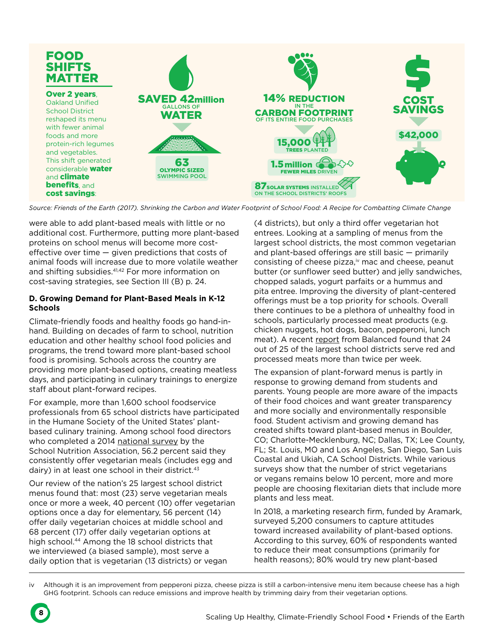

*Source: Friends of the Earth (2017). Shrinking the Carbon and Water Footprint of School Food: A Recipe for Combatting Climate Change*

were able to add plant-based meals with little or no additional cost. Furthermore, putting more plant-based proteins on school menus will become more costeffective over time — given predictions that costs of animal foods will increase due to more volatile weather and shifting subsidies.<sup>41,42</sup> For more information on cost-saving strategies, see Section III (B) p. 24.

#### **D. Growing Demand for Plant-Based Meals in K-12 Schools**

Climate-friendly foods and healthy foods go hand-inhand. Building on decades of farm to school, nutrition education and other healthy school food policies and programs, the trend toward more plant-based school food is promising. Schools across the country are providing more plant-based options, creating meatless days, and participating in culinary trainings to energize staff about plant-forward recipes.

For example, more than 1,600 school foodservice professionals from 65 school districts have participated in the Humane Society of the United States' plantbased culinary training. Among school food directors who completed a 2014 national survey by the School Nutrition Association, 56.2 percent said they consistently offer vegetarian meals (includes egg and dairy) in at least one school in their district.<sup>43</sup>

Our review of the nation's 25 largest school district menus found that: most (23) serve vegetarian meals once or more a week, 40 percent (10) offer vegetarian options once a day for elementary, 56 percent (14) offer daily vegetarian choices at middle school and 68 percent (17) offer daily vegetarian options at high school.<sup>44</sup> Among the 18 school districts that we interviewed (a biased sample), most serve a daily option that is vegetarian (13 districts) or vegan

(4 districts), but only a third offer vegetarian hot entrees. Looking at a sampling of menus from the largest school districts, the most common vegetarian and plant-based offerings are still basic — primarily consisting of cheese pizza,<sup>iv</sup> mac and cheese, peanut butter (or sunflower seed butter) and jelly sandwiches, chopped salads, yogurt parfaits or a hummus and pita entree. Improving the diversity of plant-centered offerings must be a top priority for schools. Overall there continues to be a plethora of unhealthy food in schools, particularly processed meat products (e.g. chicken nuggets, hot dogs, bacon, pepperoni, lunch meat). A recent report from Balanced found that 24 out of 25 of the largest school districts serve red and processed meats more than twice per week.

The expansion of plant-forward menus is partly in response to growing demand from students and parents. Young people are more aware of the impacts of their food choices and want greater transparency and more socially and environmentally responsible food. Student activism and growing demand has created shifts toward plant-based menus in Boulder, CO; Charlotte-Mecklenburg, NC; Dallas, TX; Lee County, FL; St. Louis, MO and Los Angeles, San Diego, San Luis Coastal and Ukiah, CA School Districts. While various surveys show that the number of strict vegetarians or vegans remains below 10 percent, more and more people are choosing flexitarian diets that include more plants and less meat.

In 2018, a marketing research firm, funded by Aramark, surveyed 5,200 consumers to capture attitudes toward increased availability of plant-based options. According to this survey, 60% of respondents wanted to reduce their meat consumptions (primarily for health reasons); 80% would try new plant-based

iv Although it is an improvement from pepperoni pizza, cheese pizza is still a carbon-intensive menu item because cheese has a high GHG footprint. Schools can reduce emissions and improve health by trimming dairy from their vegetarian options.